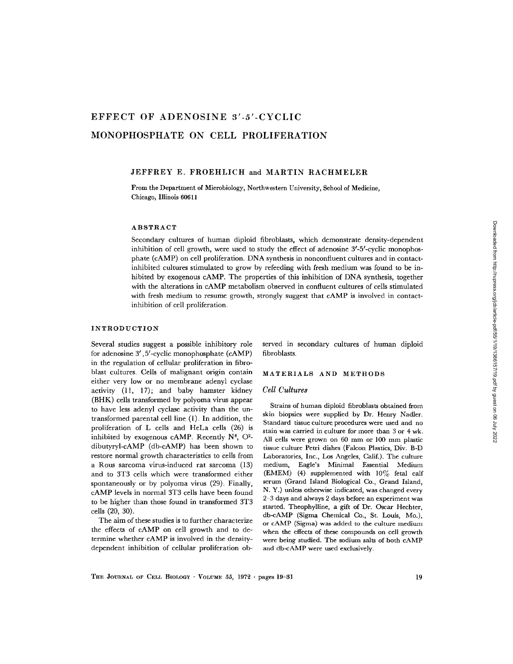# EFFECT OF ADENOSINE 3'-5'-CYCLIC MONOPHOSPHATE ON CELL PROLIFERATION

#### JEFFREY E. FROEHLICH and MARTIN RACHMELER

From the Department of Microbiology, Northwestern University, School of Medicine, Chicago, Illinois 60611

#### ABSTRACT

Secondary cultures of human diploid fibroblasts, which demonstrate density-dependent inhibition of cell growth, were used to study the effect of adenosine 3'-5'-cyclic monophosphate (cAMP) on cell proliferation. DNA synthesis in nonconfluent cultures and in contactinhibited cultures stimulated to grow by refeeding with fresh medium was found to be inhibited by exogenous cAMP. The properties of this inhibition of DNA synthesis, together with the alterations in cAMP metabolism observed in confluent cultures of cells stimulated with fresh medium to resume growth, strongly suggest that cAMP is involved in contactinhibition of cell proliferation .

### INTRODUCTION

Several studies suggest a possible inhibitory role for adenosine 3' , 5'-cyclic monophosphate (cAMP) in the regulation of cellular proliferation in fibroblast cultures . Cells of malignant origin contain either very low or no membrane adenyl cyclase activity  $(11, 17)$ ; and baby hamster kidney (BHK) cells transformed by polyoma virus appear to have less adenyl cyclase activity than the untransformed parental cell line (1) . In addition, the proliferation of L cells and HeLa cells (26) is inhibited by exogenous cAMP. Recently  $N^6$ ,  $O^2$ dibutyryl-cAMP (db-cAMP) has been shown to restore normal growth characteristics to cells from a Rous sarcoma virus-induced rat sarcoma (13) and to 3T3 cells which were transformed either spontaneously or by polyoma virus (29). Finally, cAMP levels in normal 3T3 cells have been found to be higher than those found in transformed 3T3 cells (20, 30) .

The aim of these studies is to further characterize the effects of cAMP on cell growth and to determine whether cAMP is involved in the densitydependent inhibition of cellular proliferation observed in secondary cultures of human diploid fibroblasts.

#### MATERIALS AND METHODS

#### Cell Cultures

Strains of human diploid fibroblasts obtained from skin biopsies were supplied by Dr. Henry Nadler. Standard tissue culture procedures were used and no stain was carried in culture for more than 3 or 4 wk . All cells were grown on 60 mm or 100 mm plastic tissue culture Petri dishes (Falcon Plastics, Div. B-D Laboratories, Inc., Los Angeles, Calif.). The culture medium, Eagle's Minimal Essential Medium (EMEM) (4) supplemented with  $10\%$  fetal calf serum (Grand Island Biological Co., Grand Island, N. Y.) unless otherwise indicated, was changed every 2-3 days and always 2 days before an experiment was started. Theophylline, a gift of Dr. Oscar Hechter, db-cAMP (Sigma Chemical Co., St. Louis, Mo.), or cAMP (Sigma) was added to the culture medium when the effects of these compounds on cell growth were being studied. The sodium salts of both cAMP and db-cAMP were used exclusively.

THE JOURNAL OF CELL BIOLOGY · VOLUME 55, 1972 · pages 19-31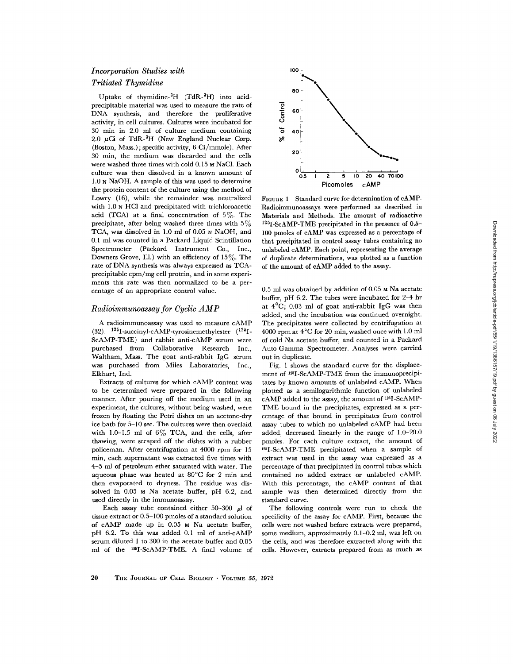### Incorporation Studies with

### Tritiated Thymidine

Uptake of thymidine- ${}^{3}H$  (TdR- ${}^{3}H$ ) into acidprecipitable material was used to measure the rate of DNA synthesis, and therefore the proliferative activity, in cell cultures . Cultures were incubated for 30 min in 2.0 ml of culture medium containing 2.0  $\mu$ Ci of TdR- ${}^{3}H$  (New England Nuclear Corp. (Boston, Mass.); specific activity, 6 Ci/mmole). After 30 min, the medium was discarded and the cells were washed three times with cold 0.15 M NaCl. Each culture was then dissolved in a known amount of <sup>1</sup> .0 N NaOH. A sample of this was used to determine the protein content of the culture using the method of Lowry (16), while the remainder was neutralized with 1.0 N HCl and precipitated with trichloroacetic acid (TCA) at a final concentration of  $5\%$ . The precipitate, after being washed three times with  $5\%$ TCA, was dissolved in 1.0 ml of 0.05 N NaOH, and 0.1 ml was counted in a Packard Liquid Scintillation Spectrometer (Packard Instrument Co., Inc., Downers Grove, Ill.) with an efficiency of  $15\%$ . The rate of DNA synthesis was always expressed as TCAprecipitable cpm/mg cell protein, and in some experiments this rate was then normalized to be a percentage of an appropriate control value.

### Radioimmunoassay for Cyclic AMP

A radioimmunoassay was used to measure cAMP (32).  $125$ I-succinyl-cAMP-tyrosinemethylester  $(^{125}$ I-ScAMP-TME) and rabbit anti-cAMP serum were purchased from Collaborative Research Inc., Waltham, Mass. The goat anti-rabbit IgG serum was purchased from Miles Laboratories, Inc., Elkhart, Ind.

Extracts of cultures for which cAMP content was to be determined were prepared in the following manner. After pouring off the medium used in an experiment, the cultures, without being washed, were frozen by floating the Petri dishes on an acetone-dry ice bath for 5-10 sec . The cultures were then overlaid with 1.0-1.5 ml of  $6\%$  TCA, and the cells, after thawing, were scraped off the dishes with a rubber policeman. After centrifugation at 4000 rpm for 15 min, each supernatant was extracted five times with 4-5 ml of petroleum ether saturated with water. The aqueous phase was heated at 80°C for 2 min and then evaporated to dryness. The residue was dissolved in  $0.05$  M Na acetate buffer, pH  $6.2$ , and used directly in the immunoassay.

Each assay tube contained either 50-300  $\mu$ l of tissue extract or 0.5-100 pmoles of a standard solution of cAMP made up in 0.05 M Na acetate buffer, pH 6.2. To this was added 0.1 ml of anti-cAMP serum diluted 1 to 300 in the acetate buffer and 0.05 ml of the <sup>125</sup>I-ScAMP-TME. A final volume of



FIGURE 1 Standard curve for determination of cAMP. Radioimmunoassays were performed as described in Materials and Methods . The amount of radioactive  $^{125}$ I-ScAMP-TME precipitated in the presence of 0.5-100 pmoles of cAMP was expressed as a percentage of that precipitated in control assay tubes containing no unlabeled cAMP. Each point, representing the average of duplicate determinations, was plotted as a function of the amount of cAMP added to the assay .

 $0.5$  ml was obtained by addition of  $0.05$  M Na acetate buffer, pH 6.2. The tubes were incubated for 2-4 hr at  $4^{\circ}$ C; 0.03 ml of goat anti-rabbit IgG was then added, and the incubation was continued overnight. The precipitates were collected by centrifugation at 4000 rpm at  $4^{\circ}$ C for 20 min, washed once with 1.0 ml of cold Na acetate buffer, and counted in a Packard Auto-Gamma Spectrometer. Analyses were carried out in duplicate.

Fig. 1 shows the standard curve for the displacement of 1251-ScAMP-TME from the immunoprecipitates by known amounts of unlabeled cAMP. When plotted as a semilogarithmic function of unlabeled cAMP added to the assay, the amount of  $^{125}{\rm I}$ -ScAMP-TME bound in the precipitates, expressed as a percentage of that bound in precipitates from control assay tubes to which no unlabeled cAMP had been added, decreased linearly in the range of 1.0-20.0 pmoles. For each culture extract, the amount of 1251-ScAMP-TME precipitated when a sample of extract was used in the assay was expressed as a percentage of that precipitated in control tubes which contained no added extract or unlabeled cAMP. With this percentage, the cAMP content of that sample was then determined directly from the standard curve.

The following controls were run to check the specificity of the assay for cAMP. First, because the cells were not washed before extracts were prepared, some medium, approximately 0.1-0.2 ml, was left on the cells, and was therefore extracted along with the cells. However, extracts prepared from as much as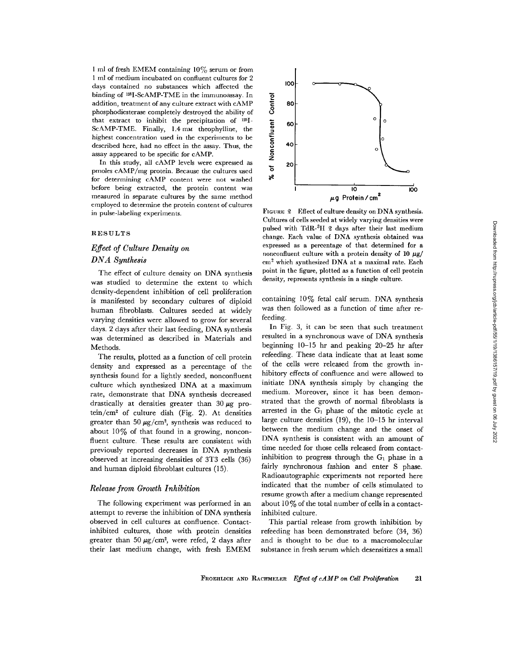1 ml of fresh EMEM containing 10% serum or from 1 ml of medium incubated on confluent cultures for 2 days contained no substances which affected the binding of <sup>125</sup>I-ScAMP-TME in the immunoassay. In addition, treatment of any culture extract with cAMP phosphodiesterase completely destroyed the ability of that extract to inhibit the precipitation of 1251- ScAMP-TME. Finally, 1.4 mm theophylline, the highest concentration used in the experiments to be described here, had no effect in the assay. Thus, the assay appeared to be specific for cAMP.

In this study, all cAMP levels were expressed as pmoles cAMP/mg protein. Because the cultures used for determining cAMP content were not washed before being extracted, the protein content was measured in separate cultures by the same method employed to determine the protein content of cultures in pulse-labeling experiments.

#### RESULTS

## Effect of Culture Density on DNA Synthesis

The effect of culture density on DNA synthesis was studied to determine the extent to which density-dependent inhibition of cell proliferation is manifested by secondary cultures of diploid human fibroblasts. Cultures seeded at widely varying densities were allowed to grow for several days. 2 days after their last feeding, DNA synthesis was determined as described in Materials and Methods.

The results, plotted as a function of cell protein density and expressed as a percentage of the synthesis found for a lightly seeded, nonconfluent culture which synthesized DNA at a maximum rate, demonstrate that DNA synthesis decreased drastically at densities greater than 30 µg pro- $\text{tein}/\text{cm}^2$  of culture dish (Fig. 2). At densities greater than 50  $\mu$ g/cm<sup>2</sup>, synthesis was reduced to about  $10\%$  of that found in a growing, nonconfluent culture. These results are consistent with previously reported decreases in DNA synthesis observed at increasing densities of 3T3 cells (36) and human diploid fibroblast cultures (15) .

#### Release from Growth Inhibition

The following experiment was performed in an attempt to reverse the inhibition of DNA synthesis observed in cell cultures at confluence . Contactinhibited cultures, those with protein densities greater than 50  $\mu$ g/cm<sup>2</sup>, were refed, 2 days after their last medium change, with fresh EMEM



100 o

ē.

point in the figure, plotted as a function of cell protein density, represents synthesis in a single culture. containing  $10\%$  fetal calf serum. DNA synthesis

was then followed as a function of time after refeeding .

In Fig. 3, it can be seen that such treatment resulted in a synchronous wave of DNA synthesis beginning 10-15 hr and peaking 20-25 hr after refeeding. These data indicate that at least some of the cells were released from the growth inhibitory effects of confluence and were allowed to initiate DNA synthesis simply by changing the medium. Moreover, since it has been demonstrated that the growth of normal fibroblasts is arrested in the  $G_1$  phase of the mitotic cycle at large culture densities (19), the 10-15 hr interval between the medium change and the onset of DNA synthesis is consistent with an amount of time needed for those cells released from contactinhibition to progress through the  $G_1$  phase in a fairly synchronous fashion and enter S phase. Radioautographic experiments not reported here indicated that the number of cells stimulated to resume growth after a medium change represented about  $10\%$  of the total number of cells in a contactinhibited culture.

This partial release from growth inhibition by refeeding has been demonstrated before (34, 36) and is thought to be due to a macromolecular substance in fresh serum which desensitizes a small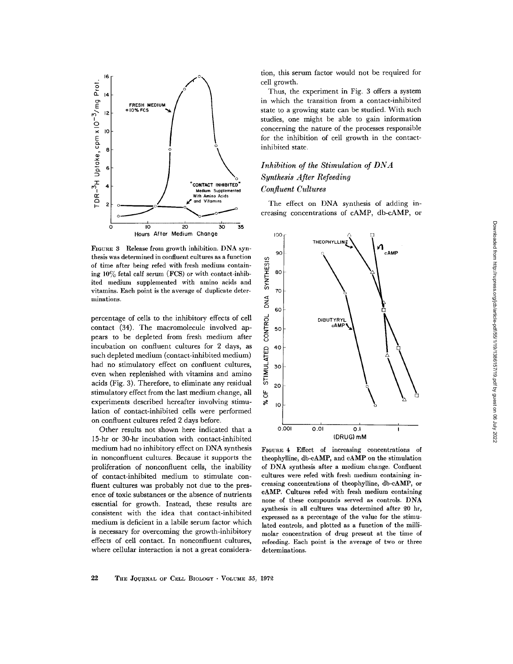

minations . FIGURE 3 Release from growth inhibition . DNA synthesis was determined in confluent cultures as a function of time after being refed with fresh medium contain ing  $10\%$  fetal calf serum (FCS) or with contact-inhibited medium supplemented with amino acids and vitamins . Each point is the average of duplicate deter-

percentage of cells to the inhibitory effects of cell contact (34). The macromolecule involved appears to be depleted from fresh medium after incubation on confluent cultures for 2 days, as such depleted medium (contact-inhibited medium) had no stimulatory effect on confluent cultures, even when replenished with vitamins and amino acids (Fig. 3) . Therefore, to eliminate any residual stimulatory effect from the last medium change, all experiments described hereafter involving stimulation of contact-inhibited cells were performed on confluent cultures refed 2 days before.

Other results not shown here indicated that a 15-hr or 30-hr incubation with contact-inhibited medium had no inhibitory effect on DNA synthesis in nonconfluent cultures. Because it supports the proliferation of nonconfluent cells, the inability of contact-inhibited medium to stimulate confluent cultures was probably not due to the presence of toxic substances or the absence of nutrients essential for growth. Instead, these results are consistent with the idea that contact-inhibited medium is deficient in a labile serum factor which is necessary for overcoming the growth-inhibitory effects of cell contact . In nonconfluent cultures, where cellular interaction is not a great considera-

tion, this serum factor would not be required for cell growth .

Thus, the experiment in Fig. 3 offers a system in which the transition from a contact-inhibited state to a growing state can be studied. With such studies, one might be able to gain information concerning the nature of the processes responsible for the inhibition of cell growth in the contactinhibited state.

# Inhibition of the Stimulation of DNA Synthesis After Refeeding Confluent Cultures

The effect on DNA synthesis of adding increasing concentrations of cAMP, db-cAMP, or



FIGURE 4 Effect of increasing concentrations of theophylline, db-cAMP, and cAMP on the stimulation of DNA synthesis after a medium change . Confluent cultures were refed with fresh medium containing increasing concentrations of theophylline, db-cAMP, or cAMP. Cultures refed with fresh medium containing none of these compounds served as controls . DNA synthesis in all cultures was determined after 20 hr, expressed as a percentage of the value for the stimulated controls, and plotted as a function of the millimolar concentration of drug present at the time of refeeding. Each point is the average of two or three determinations.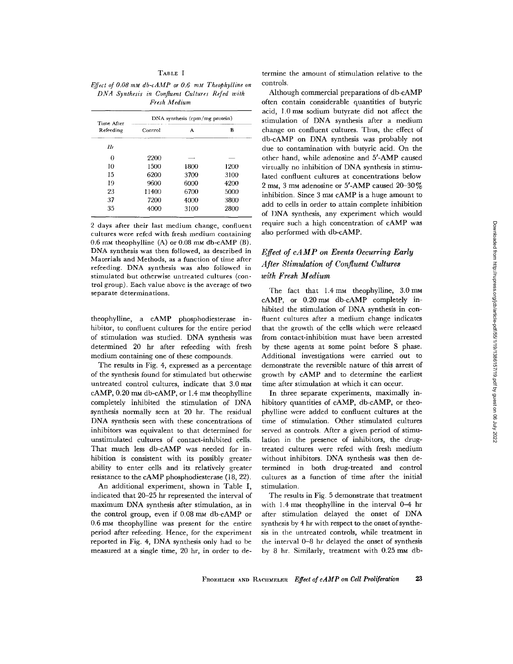#### TABLE I

Effect of 0.08 mm  $db$ -c $AMP$  or 0.6 mm Theophylline on DNA Synthesis in Confluent Cultures Refed with Fresh Medium

| Time After<br>Refeeding | DNA synthesis (cpm/mg protein) |      |      |  |
|-------------------------|--------------------------------|------|------|--|
|                         | Control                        | А    | в    |  |
| Hr                      |                                |      |      |  |
| 0                       | 2200                           |      |      |  |
| 10                      | 1500                           | 1800 | 1200 |  |
| 15                      | 6200                           | 3700 | 3100 |  |
| 19                      | 9600                           | 6000 | 4200 |  |
| 23                      | 11400                          | 6700 | 5000 |  |
| 37                      | 7200                           | 4000 | 3800 |  |
| 35                      | 4000                           | 3100 | 2800 |  |

2 days after their last medium change, confluent cultures were refed with fresh medium containing 0.6 mm theophylline  $(A)$  or 0.08 mm db-cAMP  $(B)$ . DNA synthesis was then followed, as described in Materials and Methods, as a function of time after refeeding. DNA synthesis was also followed in stimulated but otherwise untreated cultures (control group) . Each value above is the average of two separate determinations.

theophylline, a cAMP phosphodiesterase inhibitor, to confluent cultures for the entire period of stimulation was studied. DNA synthesis was determined 20 hr after refeeding with fresh medium containing one of these compounds .

The results in Fig. 4, expressed as a percentage of the synthesis found for stimulated but otherwise untreated control cultures, indicate that 3.0 mm cAMP, 0.20 mm db-cAMP, or 1.4 mm theophylline completely inhibited the stimulation of DNA synthesis normally seen at 20 hr. The residual DNA synthesis seen with these concentrations of inhibitors was equivalent to that determined for unstimulated cultures of contact-inhibited cells. That much less db-cAMP was needed for inhibition is consistent with its possibly greater ability to enter cells and its relatively greater resistance to the cAMP phosphodiesterase (18, 22) .

An additional experiment, shown in Table I, indicated that 20-25 hr represented the interval of maximum DNA synthesis after stimulation, as in the control group, even if 0.08 mm db-cAMP or 0 .6 mm theophylline was present for the entire period after refeeding. Hence, for the experiment reported in Fig. 4, DNA synthesis only had to be measured at a single time, 20 hr, in order to de-

termine the amount of stimulation relative to the controls .

Although commercial preparations of db-cAMP often contain considerable quantities of butyric acid, 1 .0 mm sodium butyrate did not affect the stimulation of DNA synthesis after a medium change on confluent cultures. Thus, the effect of db-cAMP on DNA synthesis was probably not due to contamination with butyric acid . On the other hand, while adenosine and 5'-AMP caused virtually no inhibition of DNA synthesis in stimulated confluent cultures at concentrations below 2 mm, 3 mm adenosine or 5'-AMP caused 20-30% inhibition. Since 3 mm cAMP is a huge amount to add to cells in order to attain complete inhibition of DNA synthesis, any experiment which would require such a high concentration of cAMP was also performed with db-cAMP.

# Effect of cAMP on Events Occurring Early After Stimulation of Confluent Cultures with Fresh Medium

The fact that  $1.4 \text{ mm}$  theophylline,  $3.0 \text{ mm}$ cAMP, or 0.20 mm db-cAMP completely inhibited the stimulation of DNA synthesis in confluent cultures after a medium change indicates that the growth of the cells which were released from contact-inhibition must have been arrested by these agents at some point before S phase. Additional investigations were carried out to demonstrate the reversible nature of this arrest of growth by cAMP and to determine the earliest time after stimulation at which it can occur.

In three separate experiments, maximally inhibitory quantities of cAMP, db-cAMP, or theophylline were added to confluent cultures at the time of stimulation . Other stimulated cultures served as controls. After a given period of stimulation in the presence of inhibitors, the drugtreated cultures were refed with fresh medium without inhibitors. DNA synthesis was then determined in both drug-treated and control cultures as a function of time after the initial stimulation.

The results in Fig. 5 demonstrate that treatment with 1.4 mm theophylline in the interval 0-4 hr after stimulation delayed the onset of DNA synthesis by 4 hr with respect to the onset of synthesis in the untreated controls, while treatment in the interval 0-8 hr delayed the onset of synthesis by 8 hr. Similarly, treatment with  $0.25 \text{ mm}$  db-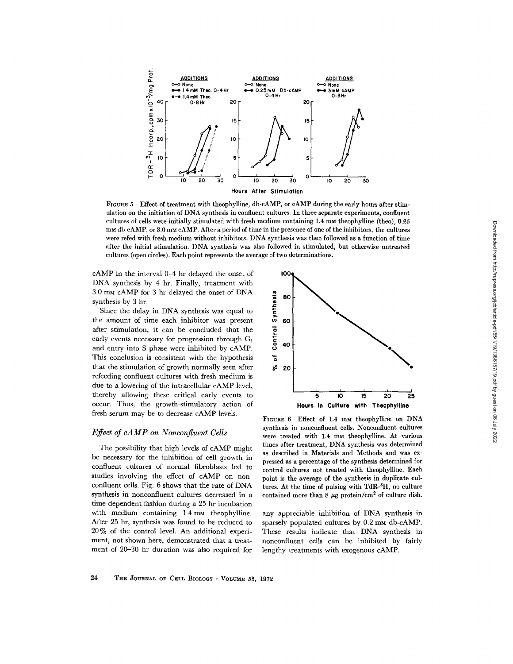

FIGURE 5 Effect of treatment with theophylline, db-cAMP, or cAMP during the early hours after stimulation on the initiation of DNA synthesis in confluent cultures . In three separate experiments, confluent cultures of cells were initially stimulated with fresh medium containing 1 .4 mm theophylline (theo), 0 .25 mm db-cAMP, or 3.0 mm cAMP. After a period of time in the presence of one of the inhibitors, the cultures were refed with fresh medium without inhibitors . DNA synthesis was then followed as a function of time after the initial stimulation . DNA synthesis was also followed in stimulated, but otherwise untreated cultures (open circles) . Each point represents the average of two determinations .

 $cAMP$  in the interval  $0-4$  hr delayed the onset of  $100$ DNA synthesis by 4 hr. Finally, treatment with 3 .0 mm cAMP for 3 hr delayed the onset of DNA synthesis by 3 hr.

Since the delay in DNA synthesis was equal to the amount of time each inhibitor was present after stimulation, it can be concluded that the early events necessary for progression through  $G_1$ and entry into S phase were inhibited by cAMP. This conclusion is consistent with the hypothesis that the stimulation of growth normally seen after refeeding confluent cultures with fresh medium is due to a lowering of the intracellular cAMP level, thereby allowing these critical early events to occur. Thus, the growth-stimulatory action of fresh serum may be to decrease cAMP levels.

### Efect of cAMP on Nonconfluent Cells

The possibility that high levels of cAMP might be necessary for the inhibition of cell growth in confluent cultures of normal fibroblasts led to studies involving the effect of cAMP on nonconfluent cells . Fig. 6 shows that the rate of DNA synthesis in nonconfluent cultures decreased in a time-dependent fashion during a 25 hr incubation with medium containing 1.4 mm theophylline. After 25 hr, synthesis was found to be reduced to  $20\%$  of the control level. An additional experiment, not shown here, demonstrated that a treatment of 20-30 hr duration was also required for



FIGURE 6 Effect of 1.4 mm theophylline on DNA synthesis in nonconfluent cells. Nonconfluent cultures were treated with 1.4 mm theophylline. At various times after treatment, DNA synthesis was determined as described in Materials and Methods and was expressed as a percentage of the synthesis determined for control cultures not treated with theophylline. Each point is the average of the synthesis in duplicate cultures. At the time of pulsing with  $TdR-<sup>3</sup>H$ , no culture contained more than 8  $\mu$ g protein/cm<sup>2</sup> of culture dish.

any appreciable inhibition of DNA synthesis in sparsely populated cultures by 0.2 mm db-cAMP. These results indicate that DNA synthesis in nonconfluent cells can be inhibited by fairly lengthy treatments with exogenous cAMP.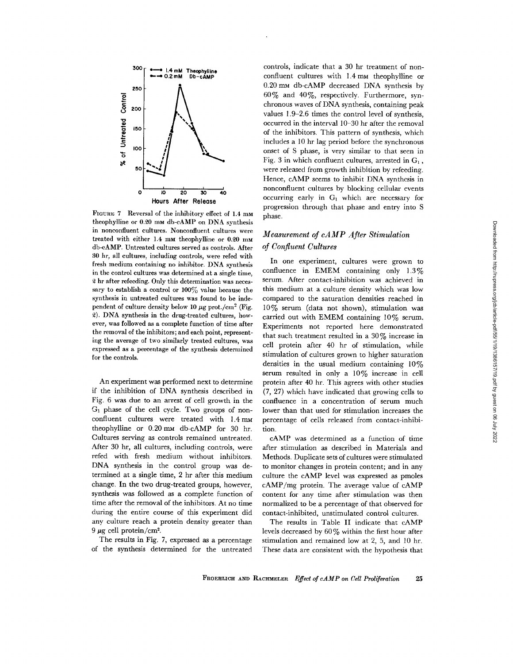

FIGURE 7 Reversal of the inhibitory effect of 1.4 mm theophylline or 0.20 mm db-cAMP on DNA synthesis in nonconfluent cultures. Nonconfluent cultures were treated with either 1.4 mm theophylline or 0.20 mm db-cAMP. Untreated cultures served as controls . After 30 hr, all cultures, including controls, were refed with fresh medium containing no inhibitor. DNA synthesis in the control cultures was determined at a single time, 2 hr after refeeding. Only this determination was necessary to establish a control or  $100\%$  value because the synthesis in untreated cultures was found to be independent of culture density below 10  $\mu$ g prot./cm<sup>2</sup> (Fig. 2). DNA synthesis in the drug-treated cultures, however, was followed as a complete function of time after the removal of the inhibitors ; and each point, representing the average of two similarly treated cultures, was expressed as a percentage of the synthesis determined for the controls.

An experiment was performed next to determine if the inhibition of DNA synthesis described in Fig. 6 was due to an arrest of cell growth in the G, phase of the cell cycle . Two groups of nonconfluent cultures were treated with 1.4 mm theophylline or 0.20 mm db-cAMP for 30 hr. Cultures serving as controls remained untreated . After 30 hr, all cultures, including controls, were refed with fresh medium without inhibitors. DNA synthesis in the control group was determined at a single time, 2 hr after this medium change. In the two drug-treated groups, however, synthesis was followed as a complete function of time after the removal of the inhibitors . At no time during the entire course of this experiment did any culture reach a protein density greater than 9  $\mu$ g cell protein/cm<sup>2</sup>.

The results in Fig. 7, expressed as a percentage of the synthesis determined for the untreated

controls, indicate that a 30 hr treatment of nonconfluent cultures with 1 .4 mm theophylline or 0.20 mm db-cAMP decreased DNA synthesis by  $60\%$  and  $40\%$ , respectively. Furthermore, synchronous waves of DNA synthesis, containing peak values 1 .9-2 .6 times the control level of synthesis, occurred in the interval 10-30 hr after the removal of the inhibitors. This pattern of synthesis, which includes a 10 hr lag period before the synchronous onset of S phase, is very similar to that seen in Fig. 3 in which confluent cultures, arrested in  $G_1$ , were released from growth inhibition by refeeding. Hence, cAMP seems to inhibit DNA synthesis in nonconfluent cultures by blocking cellular events occurring early in  $G_1$  which are necessary for progression through that phase and entry into S phase.

### Measurement of cAMP After Stimulation of Confluent Cultures

In one experiment, cultures were grown to confluence in EMEM containing only 1.3% serum. After contact-inhibition was achieved in this medium at a culture density which was low compared to the saturation densities reached in 10% serum (data not shown), stimulation was carried out with EMEM containing  $10\%$  serum. Experiments not reported here demonstrated that such treatment resulted in a 30% increase in cell protein after 40 hr of stimulation, while stimulation of cultures grown to higher saturation densities in the usual medium containing  $10\%$ serum resulted in only a 10% increase in cell protein after 40 hr. This agrees with other studies (7, 27) which have indicated that growing cells to confluence in a concentration of serum much lower than that used for stimulation increases the percentage of cells released from contact-inhibition.

cAMP was determined as a function of time after stimulation as described in Materials and Methods. Duplicate sets of cultures were stimulated to monitor changes in protein content; and in any culture the cAMP level was expressed as pmoles cAMP/mg protein. The average value of cAMP content for any time after stimulation was then normalized to be a percentage of that observed for contact-inhibited, unstimulated control cultures .

The results in Table II indicate that cAMP levels decreased by 60% within the first hour after stimulation and remained low at 2, 5, and 10 hr. These data are consistent with the hypothesis that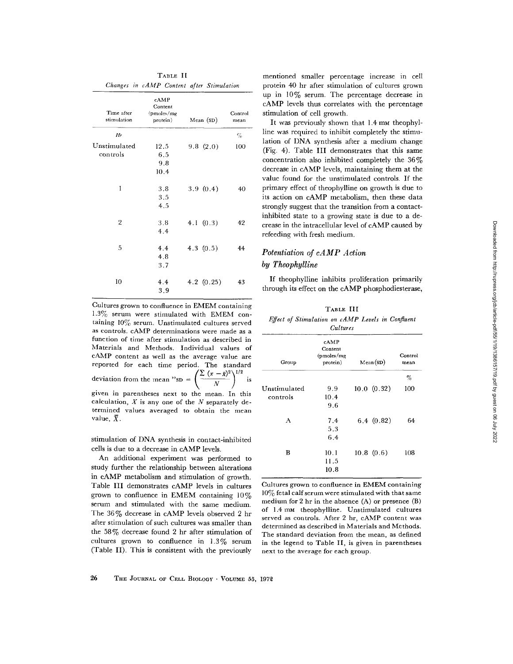|                           | cAMP                              |             |                 |
|---------------------------|-----------------------------------|-------------|-----------------|
| Time after<br>stimulation | Content<br>(pmoles/mg<br>protein) | Mean $(SD)$ | Control<br>mean |
| Hr                        |                                   |             | $\%$            |
| Unstimulated              | 12.5                              | 9.8(2.0)    | 100             |
| controls                  | 6.5                               |             |                 |
|                           | 9.8                               |             |                 |
|                           | 10.4                              |             |                 |
| 1                         | 3.8                               | 3.9(0.4)    | 40              |
|                           | 3.5                               |             |                 |
|                           | 4.5                               |             |                 |
| $\overline{2}$            | 3.8                               | 4.1 $(0.3)$ | 42              |
|                           | 4.4                               |             |                 |
| 5                         | 4.4                               | 4.3 $(0.5)$ | 44              |
|                           | 4.8                               |             |                 |
|                           | 3.7                               |             |                 |
| 10                        | 4.4                               | 4.2(0.25)   | 43              |
|                           | 3.9                               |             |                 |

TABLE II

Cultures grown to confluence in EMEM containing 1.3% serum were stimulated with EMEM containing  $10\%$  serum. Unstimulated cultures served as controls. cAMP determinations were made as a function of time after stimulation as described in Materials and Methods . Individual values of cAMP content as well as the average value are reported for each time period. The standard deviation from the mean "sp =  $\left(\frac{\sum (x - \bar{x})^2}{N}\right)^{1/2}$  is given in parentheses next to the mean . In this calculation,  $X$  is any one of the  $N$  separately determined values averaged to obtain the mean value,  $\bar{X}$ .

stimulation of DNA synthesis in contact-inhibited cells is due to a decrease in cAMP levels .

An additional experiment was performed to study further the relationship between alterations in cAMP metabolism and stimulation of growth. Table III demonstrates cAMP levels in cultures grown to confluence in EMEM containing  $10\%$ serum and stimulated with the same medium. The 36% decrease in cAMP levels observed 2 hr after stimulation of such cultures was smaller than the  $58\%$  decrease found 2 hr after stimulation of cultures grown to confluence in  $1.3\%$  serum (Table II). This is consistent with the previously

mentioned smaller percentage increase in cell protein 40 hr after stimulation of cultures grown up in 10% serum. The percentage decrease in cAMP levels thus correlates with the percentage stimulation of cell growth .

It was previously shown that 1 .4 mm theophylline was required to inhibit completely the stimulation of DNA synthesis after a medium change (Fig. 4). Table III demonstrates that this same concentration also inhibited completely the 36% decrease in cAMP levels, maintaining them at the value found for the unstimulated controls . If the primary effect of theophylline on growth is due to its action on cAMP metabolism, then these data strongly suggest that the transition from a contactinhibited state to a growing state is due to a decrease in the intracellular level of cAMP caused by refeeding with fresh medium .

### Potentiation of cAMP Action by Theophylline

If theophylline inhibits proliferation primarily through its effect on the cAMP phosphodiesterase,

|                                                   | TABLE III |  |  |
|---------------------------------------------------|-----------|--|--|
| Effect of Stimulation on cAMP Levels in Confluent |           |  |  |
|                                                   | Cultures  |  |  |

| Group                    | cAMP<br>Content<br>(pmoles/mg)<br>protein) | Mean(SD)    | Control<br>mean |
|--------------------------|--------------------------------------------|-------------|-----------------|
|                          |                                            |             | %               |
| Unstimulated<br>controls | 9.9<br>10.4<br>9.6                         | 10.0 (0.32) | 100             |
| А                        | 7.4<br>5.3<br>6.4                          | 6.4(0.82)   | 64              |
| в                        | 10.1<br>11.5<br>10.8                       | 10.8(0.6)   | 108             |

Cultures grown to confluence in EMEM containing 10% fetal calf serum were stimulated with that same medium for 2 hr in the absence (A) or presence (B) of 1.4 mm theophylline. Unstimulated cultures served as controls. After 2 hr, cAMP content was determined as described in Materials and Methods . The standard deviation from the mean, as defined in the legend to Table II, is given in parentheses next to the average for each group .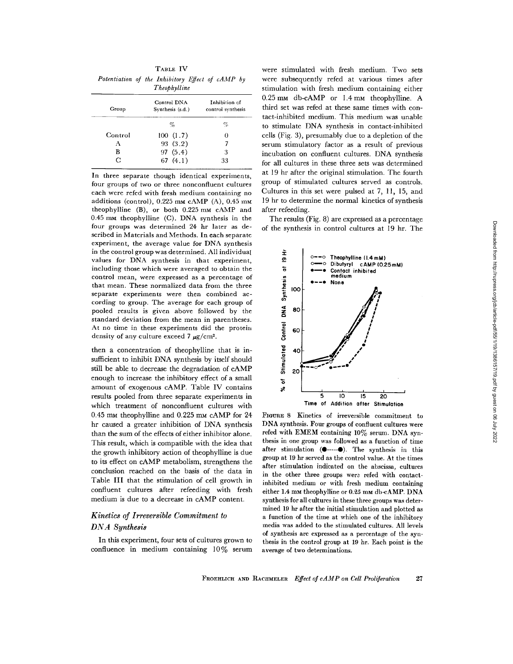TABLE IV Potentiation of the Inhibitory Effect of cAMP by Theophylline

| Group   | Control DNA<br>Synthesis (s.d.) | Inhibition of<br>control synthesis |
|---------|---------------------------------|------------------------------------|
|         | %                               | %                                  |
| Control | 100(1.7)                        |                                    |
| А       | 93(3.2)                         |                                    |
| в       | 97(5.4)                         | 3                                  |
| C       | 67 $(4.1)$                      | 33                                 |

In three separate though identical experiments, four groups of two or three nonconfluent cultures each were refed with fresh medium containing no additions (control),  $0.225$  mm cAMP (A),  $0.45$  mm theophylline  $(B)$ , or both 0.225 mm cAMP and  $0.45$  mm theophylline (C). DNA synthesis in the four groups was determined 24 hr later as described in Materials and Methods . In each separate experiment, the average value for DNA synthesis in the control group was determined. All individual values for DNA synthesis in that experiment, including those which were averaged to obtain the control mean, were expressed as a percentage of that mean. These normalized data from the three separate experiments were then combined according to group. The average for each group of pooled results is given above followed by the standard deviation from the mean in parentheses . At no time in these experiments did the protein density of any culture exceed 7  $\mu$ g/cm<sup>2</sup>.  $\frac{1}{2}$  . The result of the distribution of the same set of the set of the set of the set of the set of the set of the set of the set of the set of the set of the set of the set of the set of the set of the set of the s

then a concentration of theophylline that is insufficient to inhibit DNA synthesis by itself should still be able to decrease the degradation of cAMP enough to increase the inhibitory effect of a small amount of exogenous cAMP. Table IV contains results pooled from three separate experiments in which treatment of nonconfluent cultures with 0.45 mm theophylline and 0.225 mm cAMP for 24 hr caused a greater inhibition of DNA synthesis than the sum of the effects of either inhibitor alone . This result, which is compatible with the idea that the growth inhibitory action of theophylline is due to its effect on cAMP metabolism, strengthens the conclusion reached on the basis of the data in Table III that the stimulation of cell growth in confluent cultures after refeeding with fresh medium is due to a decrease in cAMP content.

# Kinetics of Irreversible Commitment to DNA Synthesis

In this experiment, four sets of cultures grown to confluence in medium containing 10% serum were stimulated with fresh medium. Two sets were subsequently refed at various times after stimulation with fresh medium containing either 0.25 mm db-cAMP or 1.4 mm theophylline. A third set was refed at these same times with contact-inhibited medium . This medium was unable to stimulate DNA synthesis in contact-inhibited cells (Fig. 3), presumably due to a depletion of the serum stimulatory factor as a result of previous incubation on confluent cultures. DNA synthesis for all cultures in these three sets was determined at 19 hr after the original stimulation. The fourth group of stimulated cultures served as controls . Cultures in this set were pulsed at 7, 11, 15, and 19 hr to determine the normal kinetics of synthesis after refeeding.

The results (Fig. 8) are expressed as a percentage of the synthesis in control cultures at 19 hr. The



FIGURE 8 Kinetics of irreversible commitment to DNA synthesis. Four groups of confluent cultures were refed with EMEM containing 10% serum. DNA synthesis in one group was followed as a function of time after stimulation  $(①$ ---- $④)$ . The synthesis in this group at 19 hr served as the control value. At the times after stimulation indicated on the abscissa, cultures in the other three groups wera refed with contactinhibited medium or with fresh medium containing either 1.4 mm theophylline or 0.25 mm db-cAMP. DNA synthesis for all cultures in these three groups was determined 19 hr after the initial stimulation and plotted as a function of the time at which one of the inhibitory media was added to the stimulated cultures . All levels of synthesis are expressed as a percentage of the synthesis in the control group at 19 hr . Each point is the average of two determinations.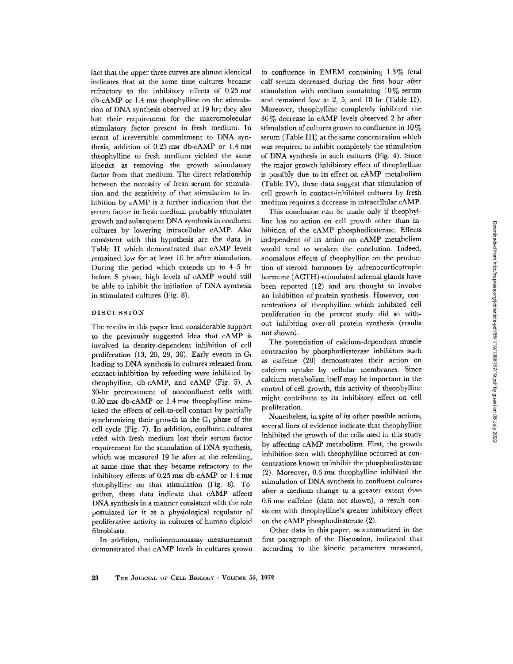fact that the upper three curves are almost identical indicates that at the same time cultures became refractory to the inhibitory effects of  $0.25 \text{ mm}$ db-cAMP or 1 .4 mm theophylline on the stimulation of DNA synthesis observed at 19 hr; they also lost their requirement for the macromolecular stimulatory factor present in fresh medium. In terms of irreversible commitment to DNA synthesis, addition of 0.25 mm db-cAMP or 1.4 mm theophylline to fresh medium yielded the same kinetics as removing the growth stimulatory factor from that medium. The direct relationship between the necessity of fresh serum for stimulation and the sensitivity of that stimulation to inhibition by cAMP is a further indication that the serum factor in fresh medium probably stimulates growth and subsequent DNA synthesis in confluent cultures by lowering intracellular cAMP. Also consistent with this hypothesis are the data in Table II which demonstrated that cAMP levels remained low for at least 10 hr after stimulation . During the period which extends up to 4-5 hr before S phase, high levels of cAMP would still be able to inhibit the initiation of DNA synthesis in stimulated cultures (Fig. 8) .

#### DISCUSSION

The results in this paper lend considerable support to the previously suggested idea that cAMP is involved in density-dependent inhibition of cell proliferation (13, 20, 29, 30). Early events in  $G_1$ leading to DNA synthesis in cultures released from contact-inhibition by refeeding were inhibited by theophylline, db-cAMP, and cAMP (Fig. 5). A 30-hr pretreatment of nonconfluent cells with 0.20 mm db-cAMP or 1.4 mm theophylline mimicked the effects of cell-to-cell contact by partially synchronizing their growth in the  $G_1$  phase of the cell cycle (Fig. 7). In addition, confluent cultures refed with fresh medium lost their serum factor requirement for the stimulation of DNA synthesis, which was measured 19 hr after at the refeeding, at same time that they became refractory to the inhibitory effects of 0.25 mm db-cAMP or 1.4 mm theophylline on that stimulation (Fig. 8). Together, these data indicate that cAMP affects DNA synthesis in a manner consistent with the role postulated for it as a physiological regulator of proliferative activity in cultures of human diploid fibroblasts .

In addition, radioimmunoassay measurements demonstrated that cAMP levels in cultures grown

to confluence in EMEM containing 1.3% fetal calf serum decreased during the first hour after stimulation with medium containing  $10\%$  serum and remained low at 2, 5, and 10 hr (Table II). Moreover, theophylline completely inhibited the 36% decrease in cAMP levels observed 2 hr after stimulation of cultures grown to confluence in  $10\%$ serum (Table III) at the same concentration which was required to inhibit completely the stimulation of DNA synthesis in such cultures (Fig. 4). Since the major growth inhibitory effect of theophylline is possibly due to its effect on cAMP metabolism (Table IV), these data suggest that stimulation of cell growth in contact-inhibited cultures by fresh medium requires a decrease in intracellular cAMP .

This conclusion can be made only if theophylline has no action on cell growth other than inhibition of the cAMP phosphodiesterase. Effects independent of its action on cAMP metabolism would tend to weaken the conclusion. Indeed, anomalous effects of theophylline on the production of steroid hormones by adrenocorticotropic hormone (ACTH)-stimulated adrenal glands have been reported (12) and are thought to involve an inhibition of protein synthesis. However, concentrations of theophylline which inhibited cell proliferation in the present study did so without inhibiting over-all protein synthesis (results not shown).

The potentiation of calcium-dependent muscle contraction by phosphodiesterase inhibitors such as caffeine (28) demonstrates their action on calcium uptake by cellular membranes . Since calcium metabolism itself may be important in the control of cell growth, this activity of theophylline might contribute to its inhibitory effect on cell proliferation.

Nonetheless, in spite of its other possible actions, several lines of evidence indicate that theophylline inhibited the growth of the cells used in this study by affecting cAMP metabolism. First, the growth inhibition seen with theophylline occurred at concentrations known to inhibit the phosphodiesterase (2) . Moreover, 0 .6 mm theophylline inhibited the stimulation of DNA synthesis in confluent cultures after a medium change to a greater extent than 0 .6 mm caffeine (data not shown), a result consistent with theophylline's greater inhibitory effect on the cAMP phosphodiesterase (2) .

Other data in this paper, as summarized in the first paragraph of the Discussion, indicated that according to the kinetic parameters measured,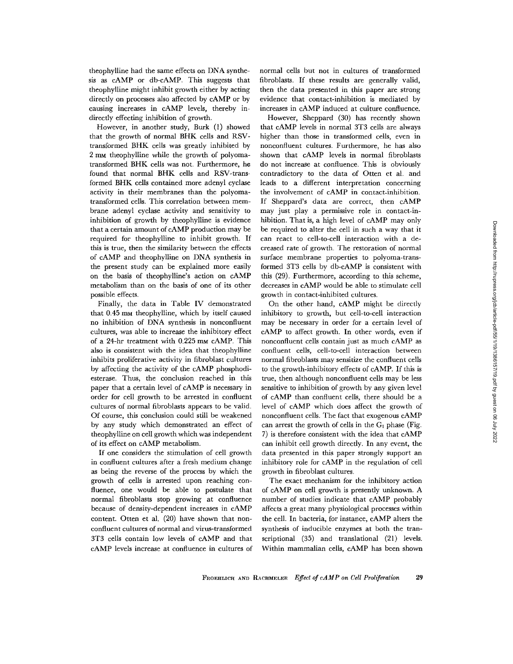theophylline had the same effects on DNA synthesis as cAMP or db-cAMP. This suggests that theophylline might inhibit growth either by acting directly on processes also affected by cAMP or by causing increases in cAMP levels, thereby indirectly effecting inhibition of growth.

However, in another study, Burk (1) showed that the growth of normal BHK cells and RSVtransformed BHK cells was greatly inhibited by 2 mm theophylline while the growth of polyomatransformed BHK cells was not . Furthermore, he found that normal BHK cells and RSV-transformed BHK cells contained more adenyl cyclase activity in their membranes than the polyomatransformed cells. This correlation between membrane adenyl cyclase activity and sensitivity to inhibition of growth by theophylline is evidence that a certain amount of cAMP production may be required for theophylline to inhibit growth . If this is true, then the similarity between the effects of cAMP and theophylline on DNA synthesis in the present study can be explained more easily on the basis of theophylline's action on cAMP metabolism than on the basis of one of its other possible effects .

Finally, the data in Table IV demonstrated that 0.45 mm theophylline, which by itself caused no inhibition of DNA synthesis in nonconfluent cultures, was able to increase the inhibitory effect of a 24-hr treatment with 0.225 mm cAMP. This also is consistent with the idea that theophylline inhibits proliferative activity in fibroblast cultures by affecting the activity of the cAMP phosphodiesterase. Thus, the conclusion reached in this paper that a certain level of cAMP is necessary in order for cell growth to be arrested in confluent cultures of normal fibroblasts appears to be valid. Of course, this conclusion could still be weakened by any study which demonstrated an effect of theophylline on cell growth which was independent of its effect on cAMP metabolism .

If one considers the stimulation of cell growth in confluent cultures after a fresh medium change as being the reverse of the process by which the growth of cells is arrested upon reaching confluence, one would be able to postulate that normal fibroblasts stop growing at confluence because of density-dependent increases in cAMP content. Otten et al. (20) have shown that nonconfluent cultures of normal and virus-transformed 3T3 cells contain low levels of cAMP and that cAMP levels increase at confluence in cultures of

normal cells but not in cultures of transformed fibroblasts. If these results are generally valid, then the data presented in this paper are strong evidence that contact-inhibition is mediated by increases in cAMP induced at culture confluence.

However, Sheppard (30) has recently shown that cAMP levels in normal 3T3 cells are always higher than those in transformed cells, even in nonconfluent cultures . Furthermore, he has also shown that cAMP levels in normal fibroblasts do not increase at confluence. This is obviously contradictory to the data of Otten et al, and leads to a different interpretation concerning the involvement of cAMP in contact-inhibition. If Sheppard's data are correct, then cAMP may just play a permissive role in contact-inhibition. That is, a high level of cAMP may only be required to alter the cell in such a way that it can react to cell-to-cell interaction with a decreased rate of growth. The restoration of normal surface membrane properties to polyoma-transformed 3T3 cells by db-cAMP is consistent with this (29) . Furthermore, according to this scheme, decreases in cAMP would be able to stimulate cell growth in contact-inhibited cultures .

On the other hand, cAMP might be directly inhibitory to growth, but cell-to-cell interaction may be necessary in order for a certain level of cAMP to affect growth. In other words, even if nonconfluent cells contain just as much cAMP as confluent cells, cell-to-cell interaction between normal fibroblasts may sensitize the confluent cells to the growth-inhibitory effects of cAMP. If this is true, then although nonconfluent cells may be less sensitive to inhibition of growth by any given level of cAMP than confluent cells, there should be a level of cAMP which does affect the growth of nonconfluent cells. The fact that exogenous cAMP can arrest the growth of cells in the  $G_1$  phase (Fig. 7) is therefore consistent with the idea that cAMP can inhibit cell growth directly. In any event, the data presented in this paper strongly support an inhibitory role for cAMP in the regulation of cell growth in fibroblast cultures .

The exact mechanism for the inhibitory action of cAMP on cell growth is presently unknown. A number of studies indicate that cAMP probably affects a great many physiological processes within the cell. In bacteria, for instance, cAMP alters the synthesis of inducible enzymes at both the transcriptional (35) and translational (21) levels. Within mammalian cells, cAMP has been shown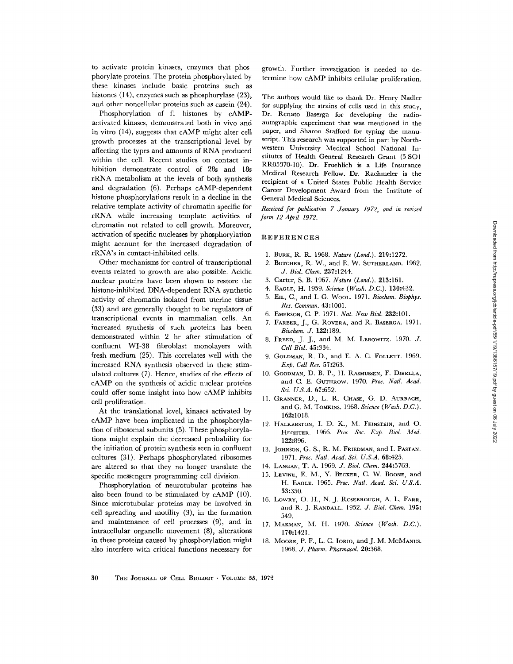to activate protein kinases, enzymes that phosphorylate proteins . The protein phosphorylated by these kinases include basic proteins such as histones (14), enzymes such as phosphorylase (23), and other noncellular proteins such as casein (24) .

Phosphorylation of fl histones by cAMPactivated kinases, demonstrated both in vivo and in vitro (14), suggests that CAMP might alter cell growth processes at the transcriptional level by affecting the types and amounts of RNA produced within the cell. Recent studies on contact inhibition demonstrate control of 28s and 18s rRNA metabolism at the levels of both synthesis and degradation (6). Perhaps cAMP-dependent histone phosphorylations result in a decline in the relative template activity of chromatin specific for rRNA while increasing template activities of chromatin not related to cell growth. Moreover, activation of specific nucleases by phosphorylation might account for the increased degradation of rRNA's in contact-inhibited cells .

Other mechanisms for control of transcriptional events related to growth are also possible . Acidic nuclear proteins have been shown to restore the histone-inhibited DNA-dependent RNA synthetic activity of chromatin isolated from uterine tissue (33) and are generally thought to be regulators of transcriptional events in mammalian cells . An increased synthesis of such proteins has been demonstrated within 2 hr after stimulation of confluent WI-38 fibroblast monolayers with fresh medium (25). This correlates well with the increased RNA synthesis observed in these stimulated cultures (7). Hence, studies of the effects of CAMP on the synthesis of acidic nuclear proteins could offer some insight into how CAMP inhibits cell proliferation.

At the translational level, kinases activated by CAMP have been implicated in the phosphorylation of ribosomal subunits (5). These phosphorylations might explain the decreased probability for the initiation of protein synthesis seen in confluent cultures (31) . Perhaps phosphorylated ribosomes are altered so that they no longer translate the specific messengers programming cell division.

Phosphorylation of neurotubular proteins has also been found to be stimulated by cAMP (10). Since microtubular proteins may be involved in cell spreading and motility (3), in the formation and maintenance of cell processes (9), and in intracellular organelle movement (8), alterations in these proteins caused by phosphorylation might also interfere with critical functions necessary for

growth . Further investigation is needed to determine how cAMP inhibits cellular proliferation.

The authors would like to thank Dr. Henry Nadler for supplying the strains of cells used in this study, Dr. Renato Baserga for developing the radioautographie experiment that was mentioned in the paper, and Sharon Stafford for typing the manuscript. This research was supported in part by Northwestern University Medical School National Institutes of Health General Research Grant (5 SCI RR05370-10) . Dr. Froehlich is a Life Insurance Medical Research Fellow. Dr. Rachmeler is the recipient of a United States Public Health Service Career Development Award from the Institute of General Medical Sciences .

Received for publication 7 January 1972, and in revised form 12 April 1972.

#### REFERENCES

- 1. BURK, R. R. 1968. Nature (Lond.). 219:1272.
- 2. BUTCHER, R. W., and E. W. SUTHERLAND. 1962. J. Biol. Chem. 237 :1244 .
- 3. Carter, S. B. 1967. Nature (Lond.). 213:161.
- 4. EAGLE, H. 1959, Science (Wash. D.C.), 130:432.
- 5. EIL, C., and I. G. Wool., 1971. Biochem. Biothys. Res. Commun. 43:1001.
- 6. EMERSON, C. P. 1971. Nat. New Biol. 232:101.
- 7. FARBER, J., G. ROVERA, and R. BASERGA. 1971. Biochem. J. 122 :189.
- 8. FREED, J. J., and M. M. LEBOWITZ. 1970. J. Cell Biol. 45:334.
- 9. GOLDMAN, R. D., and E. A. C. FOLLETT. 1969. Exp. Cell Res. 57 :263 .
- 10. GOODMAN, D. B. P., H. RASMUSSEN, F. DIBELLA, and C. E. GUTHROW. 1970. Proc. Natl. Acad. Sci. U.S.A. 67:652.
- 11. GRANNER, D., L. R. CHASE, G. D. AURBACH, and G. M. TOMKINS. 1968. Science (Wash. D.C.). 162:1018. CRENCES<br>
RR, R. R. 1968. Nature (Lond.). 219:1272.<br>
TCHER, R. W., and E. W. SUTHERLAND. 1962.<br>
J. Biol. Chem. 237:1244.<br>
L. C., and I. G. Wahrer (Lond.). 213:161.<br>
L. C., and I. G. Worker (Lond.). 213:161.<br>
L. C., and I.
- 12. HALKERSTON, I. D. K., M. FEINSTEIN, and O. HECHTER. 1966. Proc. Soc. Exp. Biol. Med. 122:896.
- 13. JOHNSON, G. S., R. M. FRIEDMAN, and I. PASTAN. 1971. Proc. Natl. Acad. Sci. U.S.A. 68:425.
- 14. LANGAN, T. A. 1969. J. Biol. Chem. 244:5763.
- 15. LEVINE, E. M., Y. BECKER, C. W. BOONE, and H. EAGLE. 1965. Proc. Natl. Acad. Sci. U.S.A. 53:350.
- 16. LOWRY, O. H., N. J. ROSEBROUGH, A. L. FARR, and R. J. RANDALL. 1952. J. Biol. Chem. 195: 549 .
- 17. MAKMAN, M. H. 1970. Science (Wash. D.C.). 170:1421.
- 18. MOORE, P. F., L. C. IORIO, and J. M. McMANUS.<br>1968. J. Pharm. Pharmacol. 20:368.